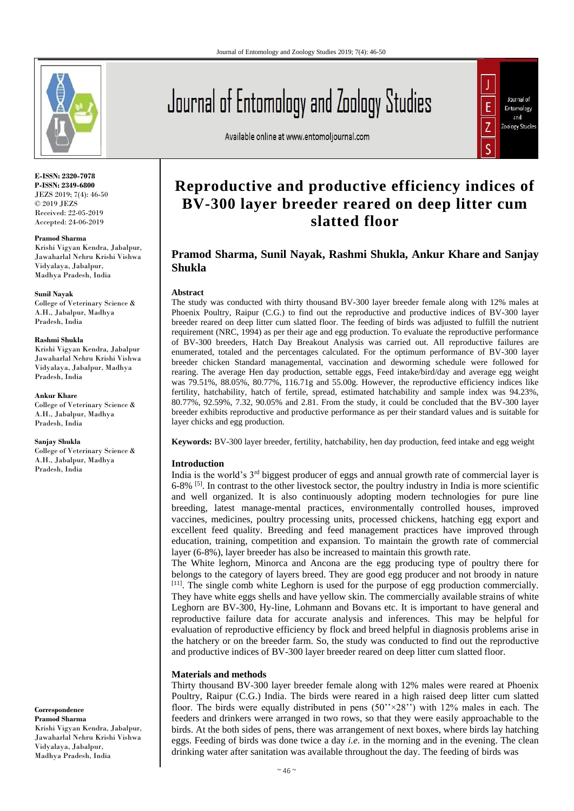

**E-ISSN: 2320-7078 P-ISSN: 2349-6800** JEZS 2019; 7(4): 46-50 © 2019 JEZS Received: 22-05-2019 Accepted: 24-06-2019

**Pramod Sharma**

Krishi Vigyan Kendra, Jabalpur, Jawaharlal Nehru Krishi Vishwa Vidyalaya, Jabalpur, Madhya Pradesh, India

#### **Sunil Nayak**

College of Veterinary Science & A.H., Jabalpur, Madhya Pradesh, India

#### **Rashmi Shukla**

Krishi Vigyan Kendra, Jabalpur Jawaharlal Nehru Krishi Vishwa Vidyalaya, Jabalpur, Madhya Pradesh, India

#### **Ankur Khare**

College of Veterinary Science & A.H., Jabalpur, Madhya Pradesh, India

#### **Sanjay Shukla**

College of Veterinary Science & A.H., Jabalpur, Madhya Pradesh, India

**Correspondence Pramod Sharma** Krishi Vigyan Kendra, Jabalpur, Jawaharlal Nehru Krishi Vishwa Vidyalaya, Jabalpur, Madhya Pradesh, India

# Journal of Entomology and Zoology Studies

Available online at www.entomoljournal.com



# **Reproductive and productive efficiency indices of BV-300 layer breeder reared on deep litter cum slatted floor**

# **Pramod Sharma, Sunil Nayak, Rashmi Shukla, Ankur Khare and Sanjay Shukla**

# **Abstract**

The study was conducted with thirty thousand BV-300 layer breeder female along with 12% males at Phoenix Poultry, Raipur (C.G.) to find out the reproductive and productive indices of BV-300 layer breeder reared on deep litter cum slatted floor. The feeding of birds was adjusted to fulfill the nutrient requirement (NRC, 1994) as per their age and egg production. To evaluate the reproductive performance of BV-300 breeders, Hatch Day Breakout Analysis was carried out. All reproductive failures are enumerated, totaled and the percentages calculated. For the optimum performance of BV-300 layer breeder chicken Standard managemental, vaccination and deworming schedule were followed for rearing. The average Hen day production, settable eggs, Feed intake/bird/day and average egg weight was 79.51%, 88.05%, 80.77%, 116.71g and 55.00g. However, the reproductive efficiency indices like fertility, hatchability, hatch of fertile, spread, estimated hatchability and sample index was 94.23%, 80.77%, 92.59%, 7.32, 90.05% and 2.81. From the study, it could be concluded that the BV-300 layer breeder exhibits reproductive and productive performance as per their standard values and is suitable for layer chicks and egg production.

**Keywords:** BV-300 layer breeder, fertility, hatchability, hen day production, feed intake and egg weight

# **Introduction**

India is the world's  $3<sup>rd</sup>$  biggest producer of eggs and annual growth rate of commercial layer is 6-8% [5]. In contrast to the other livestock sector, the poultry industry in India is more scientific and well organized. It is also continuously adopting modern technologies for pure line breeding, latest manage-mental practices, environmentally controlled houses, improved vaccines, medicines, poultry processing units, processed chickens, hatching egg export and excellent feed quality. Breeding and feed management practices have improved through education, training, competition and expansion. To maintain the growth rate of commercial layer (6-8%), layer breeder has also be increased to maintain this growth rate.

The White leghorn, Minorca and Ancona are the egg producing type of poultry there for belongs to the category of layers breed. They are good egg producer and not broody in nature [11]. The single comb white Leghorn is used for the purpose of egg production commercially. They have white eggs shells and have yellow skin. The commercially available strains of white Leghorn are BV-300, Hy-line, Lohmann and Bovans etc. It is important to have general and reproductive failure data for accurate analysis and inferences. This may be helpful for evaluation of reproductive efficiency by flock and breed helpful in diagnosis problems arise in the hatchery or on the breeder farm. So, the study was conducted to find out the reproductive and productive indices of BV-300 layer breeder reared on deep litter cum slatted floor.

# **Materials and methods**

Thirty thousand BV-300 layer breeder female along with 12% males were reared at Phoenix Poultry, Raipur (C.G.) India. The birds were reared in a high raised deep litter cum slatted floor. The birds were equally distributed in pens  $(50''\times28'')$  with 12% males in each. The feeders and drinkers were arranged in two rows, so that they were easily approachable to the birds. At the both sides of pens, there was arrangement of next boxes, where birds lay hatching eggs. Feeding of birds was done twice a day *i.e.* in the morning and in the evening. The clean drinking water after sanitation was available throughout the day. The feeding of birds was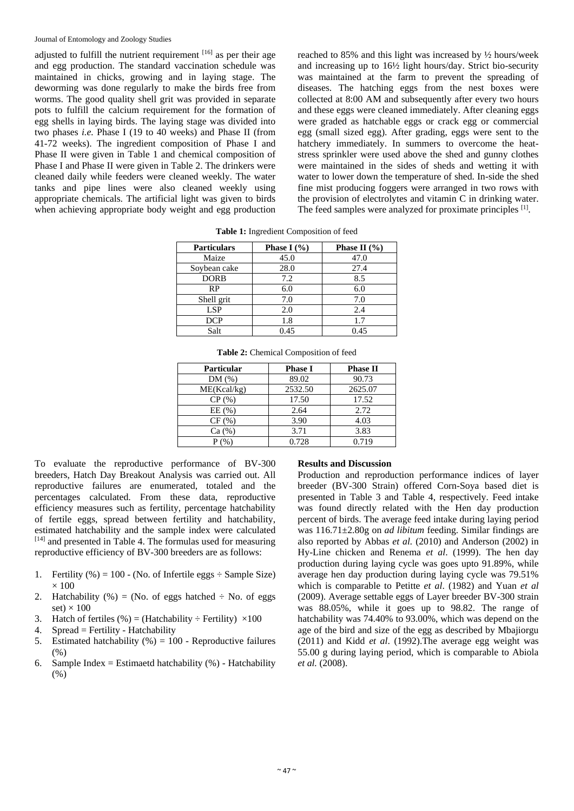adjusted to fulfill the nutrient requirement  $[16]$  as per their age and egg production. The standard vaccination schedule was maintained in chicks, growing and in laying stage. The deworming was done regularly to make the birds free from worms. The good quality shell grit was provided in separate pots to fulfill the calcium requirement for the formation of egg shells in laying birds. The laying stage was divided into two phases *i.e.* Phase I (19 to 40 weeks) and Phase II (from 41-72 weeks). The ingredient composition of Phase I and Phase II were given in Table 1 and chemical composition of Phase I and Phase II were given in Table 2. The drinkers were cleaned daily while feeders were cleaned weekly. The water tanks and pipe lines were also cleaned weekly using appropriate chemicals. The artificial light was given to birds when achieving appropriate body weight and egg production reached to 85% and this light was increased by ½ hours/week and increasing up to 16½ light hours/day. Strict bio-security was maintained at the farm to prevent the spreading of diseases. The hatching eggs from the nest boxes were collected at 8:00 AM and subsequently after every two hours and these eggs were cleaned immediately. After cleaning eggs were graded as hatchable eggs or crack egg or commercial egg (small sized egg). After grading, eggs were sent to the hatchery immediately. In summers to overcome the heatstress sprinkler were used above the shed and gunny clothes were maintained in the sides of sheds and wetting it with water to lower down the temperature of shed. In-side the shed fine mist producing foggers were arranged in two rows with the provision of electrolytes and vitamin C in drinking water. The feed samples were analyzed for proximate principles [1].

| <b>Particulars</b> | <b>Phase I</b> $(\% )$ | Phase II $(\frac{9}{6})$ |
|--------------------|------------------------|--------------------------|
| Maize              | 45.0                   | 47.0                     |
| Soybean cake       | 28.0                   | 27.4                     |
| <b>DORB</b>        | 7.2                    | 8.5                      |
| RP                 | 6.0                    | 6.0                      |
| Shell grit         | 7.0                    | 7.0                      |
| <b>LSP</b>         | 2.0                    | 2.4                      |
| <b>DCP</b>         | 1.8                    | 1.7                      |
| Salt               | 0.45                   | 0.45                     |

**Table 1:** Ingredient Composition of feed

| <b>Particular</b> | <b>Phase I</b> | <b>Phase II</b> |
|-------------------|----------------|-----------------|
| DM(%)             | 89.02          | 90.73           |
| ME(Kcal/kg)       | 2532.50        | 2625.07         |
| $CP($ %)          | 17.50          | 17.52           |
| EE(%)             | 2.64           | 2.72            |
| CF(%)             | 3.90           | 4.03            |
| Ca (%)            | 3.71           | 3.83            |
|                   | 0.728          | 0.719           |

**Table 2:** Chemical Composition of feed

To evaluate the reproductive performance of BV-300 breeders, Hatch Day Breakout Analysis was carried out. All reproductive failures are enumerated, totaled and the percentages calculated. From these data, reproductive efficiency measures such as fertility, percentage hatchability of fertile eggs, spread between fertility and hatchability, estimated hatchability and the sample index were calculated [14] and presented in Table 4. The formulas used for measuring reproductive efficiency of BV-300 breeders are as follows:

- 1. Fertility (%) = 100 (No. of Infertile eggs  $\div$  Sample Size)  $\times$  100
- 2. Hatchability  $%$  = (No. of eggs hatched  $\div$  No. of eggs set)  $\times$  100
- 3. Hatch of fertiles  $(\% ) =$  (Hatchability  $\div$  Fertility)  $\times 100$
- 4. Spread = Fertility Hatchability
- 5. Estimated hatchability  $(\% ) = 100$  Reproductive failures  $(0)$
- 6. Sample Index = Estimaetd hatchability  $(\%)$  Hatchability (%)

#### **Results and Discussion**

Production and reproduction performance indices of layer breeder (BV-300 Strain) offered Corn-Soya based diet is presented in Table 3 and Table 4, respectively. Feed intake was found directly related with the Hen day production percent of birds. The average feed intake during laying period was 116.71±2.80g on *ad libitum* feeding. Similar findings are also reported by Abbas *et al.* (2010) and Anderson (2002) in Hy-Line chicken and Renema *et al*. (1999). The hen day production during laying cycle was goes upto 91.89%, while average hen day production during laying cycle was 79.51% which is comparable to Petitte *et al*. (1982) and Yuan *et al* (2009). Average settable eggs of Layer breeder BV-300 strain was 88.05%, while it goes up to 98.82. The range of hatchability was 74.40% to 93.00%, which was depend on the age of the bird and size of the egg as described by Mbajiorgu (2011) and Kidd *et al*. (1992).The average egg weight was 55.00 g during laying period, which is comparable to Abiola *et al.* (2008).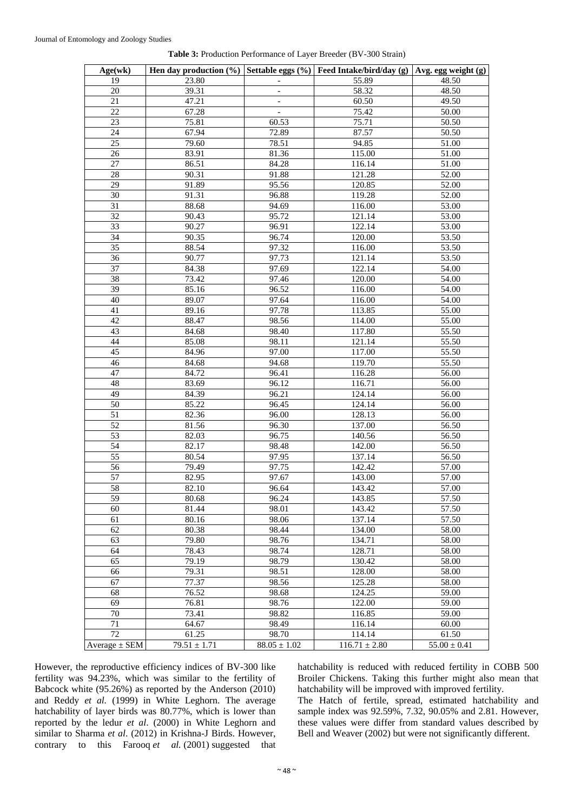| Age(wk)           |                  |                          | Hen day production (%)   Settable eggs (%)   Feed Intake/bird/day (g)   Avg. egg weight (g) |                  |
|-------------------|------------------|--------------------------|---------------------------------------------------------------------------------------------|------------------|
| 19                | 23.80            |                          | 55.89                                                                                       | 48.50            |
| 20                | 39.31            | $\overline{\phantom{a}}$ | 58.32                                                                                       | 48.50            |
| 21                | 47.21            |                          | 60.50                                                                                       | 49.50            |
| 22                | 67.28            | $\overline{a}$           | 75.42                                                                                       | 50.00            |
| 23                | 75.81            | 60.53                    | 75.71                                                                                       | 50.50            |
| 24                | 67.94            | 72.89                    | 87.57                                                                                       | 50.50            |
| 25                | 79.60            | 78.51                    | 94.85                                                                                       | 51.00            |
| 26                | 83.91            | 81.36                    | 115.00                                                                                      | 51.00            |
| 27                | 86.51            | 84.28                    | 116.14                                                                                      | 51.00            |
| 28                | 90.31            | 91.88                    | 121.28                                                                                      | 52.00            |
| 29                | 91.89            | 95.56                    | 120.85                                                                                      | 52.00            |
| 30                | 91.31            | 96.88                    | 119.28                                                                                      | 52.00            |
| 31                | 88.68            | 94.69                    | 116.00                                                                                      | 53.00            |
| 32                | 90.43            | 95.72                    | 121.14                                                                                      | 53.00            |
| 33                | 90.27            | 96.91                    | 122.14                                                                                      | 53.00            |
| 34                | 90.35            | 96.74                    | 120.00                                                                                      | 53.50            |
| 35                | 88.54            | 97.32                    | 116.00                                                                                      | 53.50            |
| 36                | 90.77            | 97.73                    | 121.14                                                                                      | 53.50            |
| 37                | 84.38            | 97.69                    | 122.14                                                                                      | 54.00            |
| 38                | 73.42            | 97.46                    | 120.00                                                                                      | 54.00            |
| 39                | 85.16            | 96.52                    | 116.00                                                                                      | 54.00            |
| 40                | 89.07            | 97.64                    | 116.00                                                                                      | 54.00            |
| 41                | 89.16            | 97.78                    | 113.85                                                                                      | 55.00            |
| 42                | 88.47            | 98.56                    | 114.00                                                                                      | 55.00            |
| 43                | 84.68            | 98.40                    | 117.80                                                                                      | 55.50            |
| 44                | 85.08            | 98.11                    | 121.14                                                                                      | 55.50            |
| 45                | 84.96            | 97.00                    | 117.00                                                                                      | 55.50            |
| 46                | 84.68            | 94.68                    | 119.70                                                                                      | 55.50            |
| 47                | 84.72            | 96.41                    | 116.28                                                                                      | 56.00            |
| 48                | 83.69            | 96.12                    | 116.71                                                                                      | 56.00            |
| 49                | 84.39            | 96.21                    | 124.14                                                                                      | 56.00            |
| $\overline{50}$   | 85.22            | 96.45                    | 124.14                                                                                      | 56.00            |
| 51                | 82.36            | 96.00                    | 128.13                                                                                      | 56.00            |
| $\overline{52}$   | 81.56            | 96.30                    | 137.00                                                                                      | 56.50            |
| 53                | 82.03            | 96.75                    | 140.56                                                                                      | 56.50            |
| 54                | 82.17            | 98.48                    | 142.00                                                                                      | 56.50            |
| 55                | 80.54            | 97.95                    | 137.14                                                                                      | 56.50            |
| 56                | 79.49            | 97.75                    | 142.42                                                                                      | 57.00            |
| 57                | 82.95            | 97.67                    | 143.00                                                                                      | 57.00            |
| 58                | 82.10            | 96.64                    | 143.42                                                                                      | 57.00            |
| 59                | 80.68            | 96.24                    | 143.85                                                                                      | 57.50            |
| 60                | 81.44            | 98.01                    | 143.42                                                                                      | 57.50            |
| 61                | 80.16            | 98.06                    | 137.14                                                                                      | 57.50            |
| 62                | 80.38            | 98.44                    | 134.00                                                                                      | 58.00            |
| 63                | 79.80            | 98.76                    | 134.71                                                                                      | 58.00            |
| 64                | 78.43            | 98.74                    | 128.71                                                                                      | 58.00            |
| 65                | 79.19            | 98.79                    | 130.42                                                                                      | 58.00            |
| 66                | 79.31            | 98.51                    | 128.00                                                                                      | 58.00            |
| 67                | 77.37            | 98.56                    | 125.28                                                                                      | 58.00            |
| 68                | 76.52            | 98.68                    | 124.25                                                                                      | 59.00            |
| 69                | 76.81            | 98.76                    | 122.00                                                                                      | 59.00            |
| 70                | 73.41            | 98.82                    | 116.85                                                                                      | 59.00            |
| 71                | 64.67            | 98.49                    | 116.14                                                                                      | 60.00            |
| 72                | 61.25            | 98.70                    | 114.14                                                                                      | 61.50            |
| Average $\pm$ SEM | $79.51 \pm 1.71$ | $88.05 \pm 1.02$         | $116.71 \pm 2.80$                                                                           | $55.00 \pm 0.41$ |

**Table 3:** Production Performance of Layer Breeder (BV-300 Strain)

However, the reproductive efficiency indices of BV-300 like fertility was 94.23%, which was similar to the fertility of Babcock white (95.26%) as reported by the Anderson (2010) and Reddy *et al.* (1999) in White Leghorn. The average hatchability of layer birds was 80.77%, which is lower than reported by the ledur *et al*. (2000) in White Leghorn and similar to Sharma *et al*. (2012) in Krishna-J Birds. However, contrary to this Farooq et al. (2001) suggested that hatchability is reduced with reduced fertility in COBB 500 Broiler Chickens. Taking this further might also mean that hatchability will be improved with improved fertility.

The Hatch of fertile, spread, estimated hatchability and sample index was 92.59%, 7.32, 90.05% and 2.81. However, these values were differ from standard values described by Bell and Weaver (2002) but were not significantly different.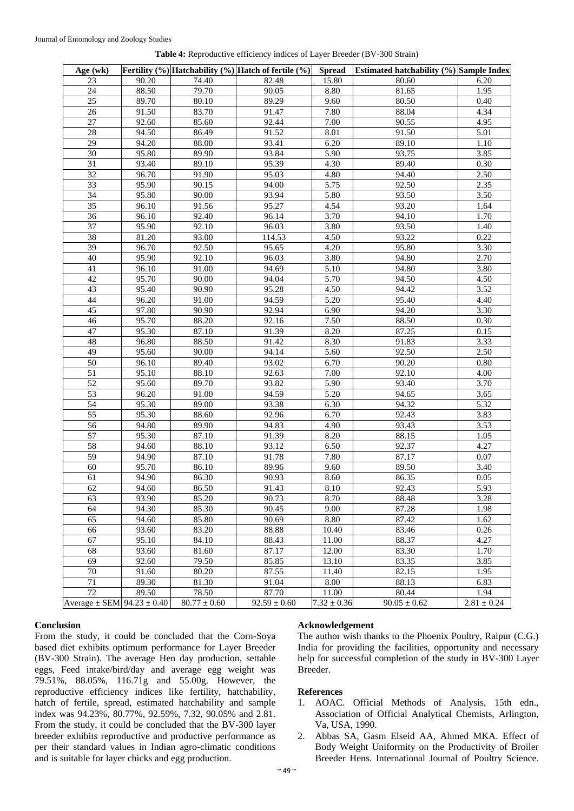| Age $(wk)$                         |                    |                  | Fertility $(\%)$ Hatchability $(\%)$ Hatch of fertile $(\%)$ | <b>Spread</b>   | Estimated hatchability (%) Sample Index |               |
|------------------------------------|--------------------|------------------|--------------------------------------------------------------|-----------------|-----------------------------------------|---------------|
| 23                                 | 90.20              | 74.40            | 82.48                                                        | 15.80           | 80.60                                   | 6.20          |
| 24                                 | 88.50              | 79.70            | 90.05                                                        | 8.80            | 81.65                                   | 1.95          |
| 25                                 | 89.70              | 80.10            | 89.29                                                        | 9.60            | 80.50                                   | 0.40          |
| 26                                 | 91.50              | 83.70            | 91.47                                                        | 7.80            | 88.04                                   | 4.34          |
| $\overline{27}$                    | 92.60              | 85.60            | 92.44                                                        | 7.00            | 90.55                                   | 4.95          |
| 28                                 | 94.50              | 86.49            | 91.52                                                        | 8.01            | 91.50                                   | 5.01          |
| 29                                 | 94.20              | 88.00            | 93.41                                                        | 6.20            | 89.10                                   | 1.10          |
| 30                                 | 95.80              | 89.90            | 93.84                                                        | 5.90            | 93.75                                   | 3.85          |
| $\overline{31}$                    | 93.40              | 89.10            | 95.39                                                        | 4.30            | 89.40                                   | 0.30          |
| $\overline{32}$                    | 96.70              | 91.90            | 95.03                                                        | 4.80            | 94.40                                   | 2.50          |
| 33                                 | 95.90              | 90.15            | 94.00                                                        | 5.75            | 92.50                                   | 2.35          |
| 34                                 | 95.80              | 90.00            | 93.94                                                        | 5.80            | 93.50                                   | 3.50          |
| 35                                 | 96.10              | 91.56            | 95.27                                                        | 4.54            | 93.20                                   | 1.64          |
| 36                                 | 96.10              | 92.40            | 96.14                                                        | 3.70            | 94.10                                   | 1.70          |
| 37                                 | 95.90              | 92.10            | 96.03                                                        | 3.80            | 93.50                                   | 1.40          |
| 38                                 | 81.20              | 93.00            | 114.53                                                       | 4.50            | 93.22                                   | 0.22          |
| 39                                 | 96.70              | 92.50            | 95.65                                                        | 4.20            | 95.80                                   | 3.30          |
| 40                                 | 95.90              | 92.10            | 96.03                                                        | 3.80            | 94.80                                   | 2.70          |
| 41                                 | 96.10              | 91.00            | 94.69                                                        | 5.10            | 94.80                                   | 3.80          |
| 42                                 | 95.70              | 90.00            | 94.04                                                        | 5.70            | 94.50                                   | 4.50          |
| 43                                 | 95.40              | 90.90            | 95.28                                                        | 4.50            | 94.42                                   | 3.52          |
| 44                                 | 96.20              | 91.00            | 94.59                                                        | 5.20            | 95.40                                   | 4.40          |
| 45                                 | 97.80              | 90.90            | 92.94                                                        | 6.90            | 94.20                                   | 3.30          |
| 46                                 | 95.70              | 88.20            | 92.16                                                        | 7.50            | 88.50                                   | 0.30          |
| 47                                 | 95.30              | 87.10            | 91.39                                                        | 8.20            | 87.25                                   | 0.15          |
| 48                                 | 96.80              | 88.50            | 91.42                                                        | 8.30            | 91.83                                   | 3.33          |
| 49                                 | 95.60              | 90.00            | 94.14                                                        | 5.60            | 92.50                                   | 2.50          |
| 50                                 | 96.10              | 89.40            | 93.02                                                        | 6.70            | 90.20                                   | 0.80          |
| 51                                 | 95.10              | 88.10            | 92.63                                                        | 7.00            | 92.10                                   | 4.00          |
| 52                                 | 95.60              | 89.70            | 93.82                                                        | 5.90            | 93.40                                   | 3.70          |
| $\overline{53}$                    | 96.20              | 91.00            | 94.59                                                        | 5.20            | 94.65                                   | 3.65          |
| 54                                 | 95.30              | 89.00            | 93.38                                                        | 6.30            | 94.32                                   | 5.32          |
| 55                                 | 95.30              | 88.60            | 92.96                                                        | 6.70            | 92.43                                   | 3.83          |
| $\overline{56}$                    | 94.80              | 89.90            | 94.83                                                        | 4.90            | 93.43                                   | 3.53          |
| 57                                 | 95.30              | 87.10            | 91.39                                                        | 8.20            | 88.15                                   | 1.05          |
| 58                                 | 94.60              | 88.10            | 93.12                                                        | 6.50            | 92.37                                   | 4.27          |
| 59                                 | 94.90              | 87.10            | 91.78                                                        | 7.80            | 87.17                                   | 0.07          |
| 60                                 | 95.70              | 86.10            | 89.96                                                        | 9.60            | 89.50                                   | 3.40          |
| 61                                 | 94.90              | 86.30            | 90.93                                                        | 8.60            | 86.35                                   | 0.05          |
| 62                                 | 94.60              | 86.50            | 91.43                                                        | 8.10            | 92.43                                   | 5.93          |
| 63                                 | 93.90              | 85.20            | 90.73                                                        | 8.70            | 88.48                                   | 3.28          |
| 64                                 | 94.30              | 85.30            | 90.45                                                        | 9.00            | 87.28                                   | 1.98          |
| 65                                 | 94.60              | 85.80            | 90.69                                                        | 8.80            | 87.42                                   | 1.62          |
| 66                                 | 93.60              | 83.20            | 88.88                                                        | 10.40           | 83.46                                   | 0.26          |
| 67                                 | 95.10              | 84.10            | 88.43                                                        | 11.00           | 88.37                                   | 4.27          |
| 68                                 | 93.60              | 81.60            | 87.17                                                        | 12.00           | 83.30                                   | 1.70          |
| 69                                 | $\overline{92.60}$ | 79.50            | 85.85                                                        | 13.10           | 83.35                                   | 3.85          |
| 70                                 | 91.60              | 80.20            | 87.55                                                        | 11.40           | 82.15                                   | 1.95          |
| 71                                 | 89.30              | 81.30            | 91.04                                                        | 8.00            | 88.13                                   | 6.83          |
| $\overline{72}$                    | 89.50              | 78.50            | 87.70                                                        | 11.00           | 80.44                                   | 1.94          |
| Average $\pm$ SEM 94.23 $\pm$ 0.40 |                    | $80.77 \pm 0.60$ | $92.59 \pm 0.60$                                             | $7.32 \pm 0.36$ | $90.05 \pm 0.62$                        | $2.81\pm0.24$ |

# **Conclusion**

From the study, it could be concluded that the Corn-Soya based diet exhibits optimum performance for Layer Breeder (BV-300 Strain). The average Hen day production, settable eggs, Feed intake/bird/day and average egg weight was 79.51%, 88.05%, 116.71g and 55.00g. However, the reproductive efficiency indices like fertility, hatchability, hatch of fertile, spread, estimated hatchability and sample index was 94.23%, 80.77%, 92.59%, 7.32, 90.05% and 2.81. From the study, it could be concluded that the BV-300 layer breeder exhibits reproductive and productive performance as per their standard values in Indian agro-climatic conditions and is suitable for layer chicks and egg production.

#### **Acknowledgement**

The author wish thanks to the Phoenix Poultry, Raipur (C.G.) India for providing the facilities, opportunity and necessary help for successful completion of the study in BV-300 Layer Breeder.

#### **References**

- 1. AOAC. Official Methods of Analysis, 15th edn., Association of Official Analytical Chemists, Arlington, Va, USA, 1990.
- 2. Abbas SA, Gasm Elseid AA, Ahmed MKA. Effect of Body Weight Uniformity on the Productivity of Broiler Breeder Hens. International Journal of Poultry Science.